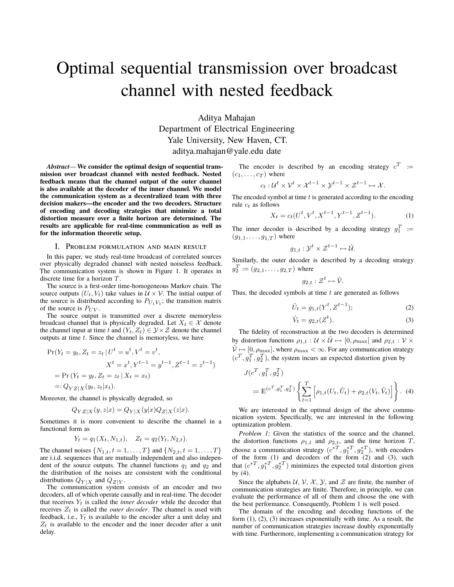# Optimal sequential transmission over broadcast channel with nested feedback

Aditya Mahajan Department of Electrical Engineering Yale University, New Haven, CT. aditya.mahajan@yale.edu date

*Abstract*— **We consider the optimal design of sequential transmission over broadcast channel with nested feedback. Nested feedback means that the channel output of the outer channel is also available at the decoder of the inner channel. We model the communication system as a decentralized team with three decision makers—the encoder and the two decoders. Structure of encoding and decoding strategies that minimize a total distortion measure over a finite horizon are determined. The results are applicable for real-time communication as well as for the information theoretic setup.**

### I. Problem formulation and main result

In this paper, we study real-time broadcast of correlated sources over physically degraded channel with nested noiseless feedback. The communication system is shown in Figure 1. It operates in discrete time for a horizon *T*.

The source is a first-order time-homogeneous Markov chain. The source outputs  $(U_t, V_t)$  take values in  $U \times V$ . The initial output of the source is distributed according to  $P_{U_1 V_1}$ ; the transition matrix of the source is  $P_{UV}$ .

The source output is transmitted over a discrete memoryless broadcast channel that is physically degraded. Let  $X_t \in \mathcal{X}$  denote the channel input at time *t* and  $(Y_t, Z_t) \in \mathcal{Y} \times \mathcal{Z}$  denote the channel outputs at time *t*. Since the channel is memoryless, we have

$$
\Pr(Y_t = y_t, Z_t = z_t | U^t = u^t, V^t = v^t, \nX^t = x^t, Y^{t-1} = y^{t-1}, Z^{t-1} = z^{t-1}) \n= \Pr(Y_t = y_t, Z_t = z_t | X_t = x_t) \n=: Q_{YZ|X}(y_t, z_t | x_t).
$$

Moreover, the channel is physically degraded, so

$$
Q_{YZ|X}(y,z|x) = Q_{Y|X}(y|x)Q_{Z|X}(z|x).
$$

Sometimes it is more convenient to describe the channel in a functional form as

$$
Y_t = q_1(X_t, N_{1,t}), \quad Z_t = q_2(Y_t, N_{2,t}).
$$

The channel noises  $\{N_{1,t}, t = 1, ..., T\}$  and  $\{N_{2,t}, t = 1, ..., T\}$ are i.i.d. sequences that are mutually independent and also independent of the source outputs. The channel functions *q*<sup>1</sup> and *q*<sup>2</sup> and the distribution of the noises are consistent with the conditional distributions  $Q_{Y|X}$  and  $Q_{Z|Y}$ .

The communication system consists of an encoder and two decoders, all of which operate causally and in real-time. The decoder that receives  $Y_t$  is called the *inner decoder* while the decoder that receives *Zt* is called the *outer decoder*. The channel is used with feedback, i.e., *Yt* is available to the encoder after a unit delay and  $Z_t$  is available to the encoder and the inner decoder after a unit delay.

The encoder is described by an encoding strategy  $c^T :=$  $(c_1, \ldots, c_T)$  where

$$
c_t: \mathcal{U}^t \times \mathcal{V}^t \times \mathcal{X}^{t-1} \times \mathcal{Y}^{t-1} \times \mathcal{Z}^{t-1} \mapsto \mathcal{X}.
$$

The encoded symbol at time *t* is generated according to the encoding rule *ct* as follows

$$
X_t = c_t(U^t, V^t, X^{t-1}, Y^{t-1}, Z^{t-1}).
$$
\n(1)

The inner decoder is described by a decoding strategy  $g_1^T :=$  $(g_{1,1},...,g_{1,T})$  where

$$
g_{1,t}: \mathcal{Y}^t \times \mathcal{Z}^{t-1} \mapsto \hat{\mathcal{U}}.
$$

Similarly, the outer decoder is described by a decoding strategy  $g_2^T := (g_{2,1}, \ldots, g_{2,T})$  where

$$
g_{2,t}:\mathcal{Z}^t\mapsto\hat{\mathcal{V}}.
$$

Thus, the decoded symbols at time *t* are generated as follows

$$
\hat{U}_t = g_{1,t}(Y^t, Z^{t-1});\tag{2}
$$

$$
\hat{V}_t = g_{2,t}(Z^t). \tag{3}
$$

The fidelity of reconstruction at the two decoders is determined by distortion functions  $\rho_{1,t}: \mathcal{U} \times \hat{\mathcal{U}} \mapsto [0, \rho_{\max}]$  and  $\rho_{2,t}: \mathcal{V} \times$  $\hat{\mathcal{V}} \mapsto [0, \rho_{\text{max}}]$ , where  $\rho_{\text{max}} < \infty$ . For any communication strategy  $(c^T, g_1^T, g_2^T)$ , the system incurs an expected distortion given by

$$
J(c^T, g_1^T, g_2^T)
$$
  
 :=  $\mathbb{E}^{(c^T, g_1^T, g_2^T)} \left\{ \sum_{t=1}^T \left[ \rho_{1,t}(U_t, \hat{U}_t) + \rho_{2,t}(V_t, \hat{V}_t) \right] \right\}.$  (4)

We are interested in the optimal design of the above communication system. Specifically, we are interested in the following optimization problem.

*Problem 1:* Given the statistics of the source and the channel, the distortion functions  $\rho_{1,t}$  and  $\rho_{2,t}$ , and the time horizon *T*, choose a communication strategy  $(c^{*T}, g_1^{*T}, g_2^{*T})$ , with encoders of the form (1) and decoders of the form (2) and (3), such that  $(c^{*T}, g_1^{*T}, g_2^{*T})$  minimizes the expected total distortion given by (4).

Since the alphabets  $U, V, X, Y$ , and  $Z$  are finite, the number of communication strategies are finite. Therefore, in principle, we can evaluate the performance of all of them and choose the one with the best performance. Consequently, Problem 1 is well posed.

The domain of the encoding and decoding functions of the form (1), (2), (3) increases exponentially with time. As a result, the number of communication strategies increase doubly exponentially with time. Furthermore, implementing a communication strategy for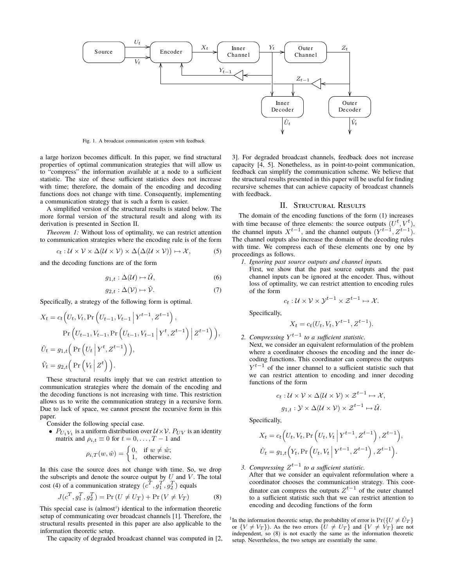

Fig. 1. A broadcast communication system with feedback

a large horizon becomes difficult. In this paper, we find structural properties of optimal communication strategies that will allow us to "compress" the information available at a node to a sufficient statistic. The size of these sufficient statistics does not increase with time; therefore, the domain of the encoding and decoding functions does not change with time. Consequently, implementing a communication strategy that is such a form is easier.

A simplified version of the structural results is stated below. The more formal version of the structural result and along with its derivation is presented in Section II.

*Theorem 1:* Without loss of optimality, we can restrict attention to communication strategies where the encoding rule is of the form

$$
c_t: \mathcal{U} \times \mathcal{V} \times \Delta(\mathcal{U} \times \mathcal{V}) \times \Delta(\Delta(\mathcal{U} \times \mathcal{V})) \mapsto \mathcal{X},
$$
 (5)

and the decoding functions are of the form

$$
g_{1,t} : \Delta(\mathcal{U}) \mapsto \hat{\mathcal{U}},\tag{6}
$$

$$
g_{2,t} : \Delta(\mathcal{V}) \mapsto \hat{\mathcal{V}}.\tag{7}
$$

Specifically, a strategy of the following form is optimal.

$$
X_t = c_t (U_t, V_t, \Pr(V_{t-1}, V_{t-1} | Y^{t-1}, Z^{t-1})),
$$
  
\n
$$
\Pr(U_{t-1}, V_{t-1}, \Pr(U_{t-1}, V_{t-1} | Y^t, Z^{t-1}) | Z^{t-1})),
$$
  
\n
$$
\hat{U}_t = g_{1,t} (\Pr(U_t | Y^t, Z^{t-1})),
$$
  
\n
$$
\hat{V}_t = g_{2,t} (\Pr(V_t | Z^t)).
$$

These structural results imply that we can restrict attention to communication strategies where the domain of the encoding and the decoding functions is not increasing with time. This restriction allows us to write the communication strategy in a recursive form. Due to lack of space, we cannot present the recursive form in this paper.

Consider the following special case.

•  $P_{U_1 V_1}$  is a uniform distribution over  $U \times V$ .  $P_{UV}$  is an identity matrix and  $\rho_{i,t} \equiv 0$  for  $t = 0, \ldots, T-1$  and

$$
\rho_{i,T}(w,\hat{w}) = \begin{cases} 0, & \text{if } w \neq \hat{w}; \\ 1, & \text{otherwise.} \end{cases}
$$

In this case the source does not change with time. So, we drop the subscripts and denote the source output by  $U$  and  $V$ . The total cost (4) of a communication strategy  $(c^T, g_1^T, g_2^T)$  equals

$$
J(c^T, g_1^T, g_2^T) = \Pr\left(U \neq U_T\right) + \Pr\left(V \neq V_T\right) \tag{8}
$$

This special case is (almost<sup>1</sup>) identical to the information theoretic setup of communicating over broadcast channels [1]. Therefore, the structural results presented in this paper are also applicable to the information theoretic setup.

The capacity of degraded broadcast channel was computed in [2,

3]. For degraded broadcast channels, feedback does not increase capacity [4, 5]. Nonetheless, as in point-to-point communication, feedback can simplify the communication scheme. We believe that the structural results presented in this paper will be useful for finding recursive schemes that can achieve capacity of broadcast channels with feedback.

#### II. Structural Results

The domain of the encoding functions of the form (1) increases with time because of three elements: the source outputs  $(U^t, V^t)$ , the channel inputs  $X^{t-1}$ , and the channel outputs  $(Y^{t-1}, Z^{t-1})$ . The channel outputs also increase the domain of the decoding rules with time. We compress each of these elements one by one by proceedings as follows.

*1. Ignoring past source outputs and channel inputs.*

First, we show that the past source outputs and the past channel inputs can be ignored at the encoder. Thus, without loss of optimality, we can restrict attention to encoding rules of the form

$$
c_t: \mathcal{U} \times \mathcal{V} \times \mathcal{Y}^{t-1} \times \mathcal{Z}^{t-1} \mapsto \mathcal{X}.
$$

Specifically,

$$
X_t = c_t(U_t, V_t, Y^{t-1}, Z^{t-1}).
$$

*2. Compressing Y t*−1 *to a sufficient statistic.*

Next, we consider an equivalent reformulation of the problem where a coordinator chooses the encoding and the inner decoding functions. This coordinator can compress the outputs  $Y^{t-1}$  of the inner channel to a sufficient statistic such that we can restrict attention to encoding and inner decoding functions of the form

$$
c_t: U \times V \times \Delta(U \times V) \times \mathcal{Z}^{t-1} \mapsto \mathcal{X},
$$
  

$$
g_{1,t}: \mathcal{Y} \times \Delta(U \times V) \times \mathcal{Z}^{t-1} \mapsto \hat{\mathcal{U}}.
$$

Specifically,

$$
X_t = c_t \Big( U_t, V_t, \Pr\Big(U_t, V_t \Big| Y^{t-1}, Z^{t-1}\Big), Z^{t-1} \Big),
$$
  

$$
\hat{U}_t = g_{1,t} \Big( Y_t, \Pr\Big(U_t, V_t \Big| Y^{t-1}, Z^{t-1}\Big), Z^{t-1} \Big).
$$

*3. Compressing Z t*−1 *to a sufficient statistic.*

After that we consider an equivalent reformulation where a coordinator chooses the communication strategy. This coordinator can compress the outputs  $Z^{t-1}$  of the outer channel to a sufficient statistic such that we can restrict attention to encoding and decoding functions of the form

<sup>1</sup>In the information theoretic setup, the probability of error is  $Pr({U \neq \hat{U}_T})$ or  $\{V \neq V_T\}$ ). As the two errors  $\{U \neq U_T\}$  and  $\{V \neq V_T\}$  are not independent, so (8) is not exactly the same as the information theoretic setup. Nevertheless, the two setups are essentially the same.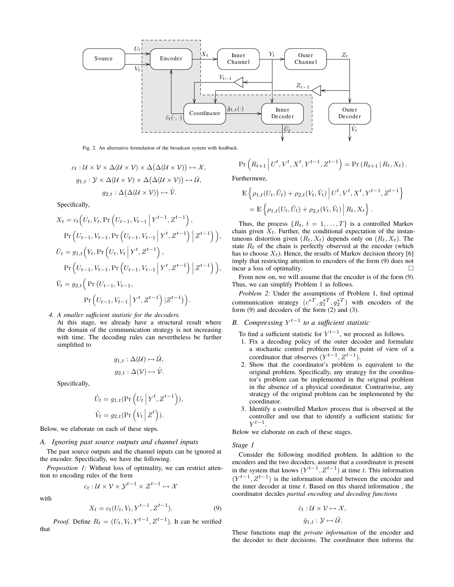

Fig. 2. An alternative formulation of the broadcast system with feedback.

$$
c_t: U \times V \times \Delta(U \times V) \times \Delta(\Delta(U \times V)) \mapsto \mathcal{X},
$$
  
\n
$$
g_{1,t}: V \times \Delta(U \times V) \times \Delta(\Delta(U \times V)) \mapsto \hat{U},
$$
  
\n
$$
g_{2,t}: \Delta(\Delta(U \times V)) \mapsto \hat{V}.
$$

Specifically,

$$
X_{t} = c_{t} \Big( U_{t}, V_{t}, \Pr\Big( U_{t-1}, V_{t-1} \Big| Y^{t-1}, Z^{t-1} \Big),
$$
  
\n
$$
\Pr\Big( U_{t-1}, V_{t-1}, \Pr\Big( U_{t-1}, V_{t-1} \Big| Y^{t}, Z^{t-1} \Big) \Big| Z^{t-1} \Big) \Big),
$$
  
\n
$$
\hat{U}_{t} = g_{1,t} \Big( Y_{t}, \Pr\Big( U_{t}, V_{t} \Big| Y^{t}, Z^{t-1} \Big),
$$
  
\n
$$
\Pr\Big( U_{t-1}, V_{t-1}, \Pr\Big( U_{t-1}, V_{t-1} \Big| Y^{t}, Z^{t-1} \Big) \Big| Z^{t-1} \Big) \Big),
$$
  
\n
$$
\hat{V}_{t} = g_{2,t} \Big( \Pr\Big( U_{t-1}, V_{t-1},
$$
  
\n
$$
\Pr\Big( U_{t-1}, V_{t-1} \Big| Y^{t}, Z^{t-1} \Big) \Big| Z^{t-1} \Big) \Big).
$$

*4. A smaller sufficient statistic for the decoders.*

At this stage, we already have a structural result where the domain of the communication strategy is not increasing with time. The decoding rules can nevertheless be further simplified to

$$
g_{1,t} : \Delta(\mathcal{U}) \mapsto \hat{\mathcal{U}},
$$
  

$$
g_{2,t} : \Delta(\mathcal{V}) \mapsto \hat{\mathcal{V}}.
$$

Specifically,

$$
\hat{U}_t = g_{1,t}(\Pr\left(U_t \mid Y^t, Z^{t-1}\right)),
$$
  

$$
\hat{V}_t = g_{2,t}(\Pr\left(V_t \mid Z^t\right)).
$$

Below, we elaborate on each of these steps.

## *A. Ignoring past source outputs and channel inputs*

The past source outputs and the channel inputs can be ignored at the encoder. Specifically, we have the following.

*Proposition 1:* Without loss of optimality, we can restrict attention to encoding rules of the form

$$
c_t: \mathcal{U} \times \mathcal{V} \times \mathcal{Y}^{t-1} \times \mathcal{Z}^{t-1} \mapsto \mathcal{X}
$$

with

$$
X_t = c_t(U_t, V_t, Y^{t-1}, Z^{t-1}).
$$
\n(9)

*Proof.* Define  $R_t = (U_t, V_t, Y^{t-1}, Z^{t-1})$ . It can be verified that

$$
\Pr\left(R_{t+1} \mid U^t, V^t, X^t, Y^{t-1}, Z^{t-1}\right) = \Pr\left(R_{t+1} \mid R_t, X_t\right).
$$

Furthermore,

$$
\mathbb{E}\left\{\rho_{1,t}(U_t,\hat{U}_t) + \rho_{2,t}(V_t,\hat{V}_t) \middle| U^t, V^t, X^t, Y^{t-1}, Z^{t-1}\right\}
$$
\n
$$
= \mathbb{E}\left\{\rho_{1,t}(U_t,\hat{U}_t) + \rho_{2,t}(V_t,\hat{V}_t) \middle| R_t, X_t\right\}.
$$

Thus, the process  $\{R_t, t = 1, \ldots, T\}$  is a controlled Markov chain given  $X_t$ . Further, the conditional expectation of the instantaneous distortion given  $(R_t, X_t)$  depends only on  $(R_t, X_t)$ . The state  $R_t$  of the chain is perfectly observed at the encoder (which has to choose  $X_t$ ). Hence, the results of Markov decision theory [6] imply that restricting attention to encoders of the form (9) does not incur a loss of ontimality incur a loss of optimality.

From now on, we will assume that the encoder is of the form (9). Thus, we can simplify Problem 1 as follows.

*Problem 2:* Under the assumptions of Problem 1, find optimal communication strategy  $(c^{*T}, g_1^{*T}, g_2^{*T})$  with encoders of the form (9) and decoders of the form (2) and (3).

# *B. Compressing Y t*−1 *to a sufficient statistic*

To find a sufficient statistic for  $Y^{t-1}$ , we proceed as follows.

- 1. Fix a decoding policy of the outer decoder and formulate a stochastic control problem from the point of view of a coordinator that observes  $(Y^{t-1}, Z^{t-1})$ .
- 2. Show that the coordinator's problem is equivalent to the original problem. Specifically, any strategy for the coordinator's problem can be implemented in the original problem in the absence of a physical coordinator. Contrariwise, any strategy of the original problem can be implemented by the coordinator.
- 3. Identify a controlled Markov process that is observed at the controller and use that to identify a sufficient statistic for *Y t*−1 .

Below we elaborate on each of these stages.

## *Stage 1*

Consider the following modified problem. In addition to the encoders and the two decoders, assume that a coordinator is present in the system that knows  $(Y^{t-1}, Z^{t-1})$  at time *t*. This information  $(Y^{t-1}, Z^{t-1})$  is the information shared between the encoder and the inner decoder at time *t*. Based on this shared information , the coordinator decides *partial encoding and decoding functions*

$$
\tilde{c}_t: \mathcal{U} \times \mathcal{V} \mapsto \mathcal{X},
$$

$$
\tilde{g}_{1,t}: \mathcal{Y} \mapsto \hat{\mathcal{U}}.
$$

These functions map the *private information* of the encoder and the decoder to their decisions. The coordinator then informs the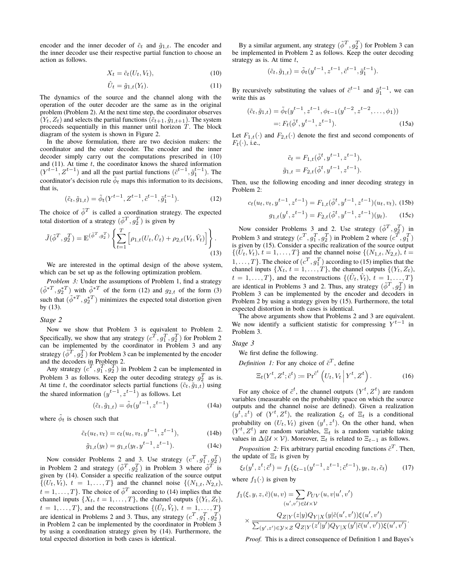encoder and the inner decoder of  $\tilde{c}_t$  and  $\tilde{g}_{1,t}$ . The encoder and the inner decoder use their respective partial function to choose an action as follows.

$$
X_t = \tilde{c}_t(U_t, V_t), \tag{10}
$$

$$
\hat{U}_t = \tilde{g}_{1,t}(Y_t). \tag{11}
$$

The dynamics of the source and the channel along with the operation of the outer decoder are the same as in the original problem (Problem 2). At the next time step, the coordinator observes  $(Y_t, Z_t)$  and selects the partial functions  $(\tilde{c}_{t+1}, \tilde{g}_{1,t+1})$ . The system proceeds sequentially in this manner until horizon *T*. The block diagram of the system is shown in Figure 2.

In the above formulation, there are two decision makers: the coordinator and the outer decoder. The encoder and the inner decoder simply carry out the computations prescribed in (10) and (11). At time *t*, the coordinator knows the shared information  $(Y^{t-1}, Z^{t-1})$  and all the past partial functions  $(\tilde{c}^{t-1}, \tilde{g}_1^{t-1})$ . The coordinator's decision rule  $\tilde{\phi}_t$  maps this information to its decisions, that is,

$$
(\tilde{c}_t, \tilde{g}_{1,t}) = \tilde{\phi}_t(Y^{t-1}, Z^{t-1}, \tilde{c}^{t-1}, \tilde{g}_1^{t-1}).
$$
\n(12)

The choice of  $\tilde{\phi}^T$  is called a coordination strategy. The expected total distortion of a strategy  $(\tilde{\phi}^T, g_2^T)$  is given by

$$
\tilde{J}(\tilde{\phi}^T, g_2^T) = \mathbb{E}^{(\tilde{\phi}^T, g_2^T)} \left\{ \sum_{t=1}^T \left[ \rho_{1,t}(U_t, \hat{U}_t) + \rho_{2,t}(V_t, \hat{V}_t) \right] \right\}.
$$
\n(13)

We are interested in the optimal design of the above system, which can be set up as the following optimization problem.

*Problem 3:* Under the assumptions of Problem 1, find a strategy  $(\tilde{\phi}^{*T}, g_2^{*T})$  with  $\tilde{\phi}^{*T}$  of the form (12) and  $g_{2,t}$  of the form (3) such that  $(\tilde{\phi}^{*T}, g_2^{*T})$  minimizes the expected total distortion given by (13).

## *Stage 2*

Now we show that Problem 3 is equivalent to Problem 2. Specifically, we show that any strategy  $(c^T, g_1^T, g_2^T)$  for Problem 2 can be implemented by the coordinator in Problem 3 and any strategy  $(\tilde{\phi}^T, g_2^T)$  for Problem 3 can be implemented by the encoder and the decoders in Problem 2.

Any strategy  $(c^T, g_1^T, g_2^T)$  in Problem 2 can be implemented in Problem 3 as follows. Keep the outer decoding strategy  $g_2^T$  as is. At time *t*, the coordinator selects partial functions  $(\tilde{c}_t, \tilde{g}_{1,t})$  using the shared information  $(y^{t-1}, z^{t-1})$  as follows. Let

$$
(\tilde{c}_t, \tilde{g}_{1,t}) = \tilde{\phi}_t(y^{t-1}, z^{t-1})
$$
 (14a)

where  $\tilde{\phi}_t$  is chosen such that

$$
\tilde{c}_t(u_t, v_t) = c_t(u_t, v_t, y^{t-1}, z^{t-1}),
$$
\n(14b)

$$
\tilde{g}_{1,t}(y_t) = g_{1,t}(y_t, y^{t-1}, z^{t-1}).
$$
\n(14c)

Now consider Problems 2 and 3. Use strategy  $(c^T, g_1^T, g_2^T)$ in Problem 2 and strategy  $(\tilde{\phi}^T, g_2^T)$  in Problem 3 where  $\tilde{\phi}^T$  is given by (14). Consider a specific realization of the source output  $\{(U_t, V_t), t = 1, \ldots, T\}$  and the channel noise  $\{(N_{1,t}, N_{2,t})\}$  $t = 1, \ldots, T$ }. The choice of  $\tilde{\phi}^T$  according to (14) implies that the channel inputs  $\{X_t, t = 1, \ldots, T\}$ , the channel outputs  $\{(Y_t, Z_t),$  $t = 1, \ldots, T$ , and the reconstructions  $\{(\hat{U}_t, \hat{V}_t), t = 1, \ldots, T\}$ are identical in Problems 2 and 3. Thus, any strategy  $(c^T, g_1^T, g_2^T)$ in Problem 2 can be implemented by the coordinator in Problem 3 by using a coordination strategy given by (14). Furthermore, the total expected distortion in both cases is identical.

By a similar argument, any strategy  $(\tilde{\phi}^T, g_2^T)$  for Problem 3 can be implemented in Problem 2 as follows. Keep the outer decoding strategy as is. At time *t*,

$$
(\tilde{c}_t, \tilde{g}_{1,t}) = \tilde{\phi}_t(y^{t-1}, z^{t-1}, \tilde{c}^{t-1}, \tilde{g}_1^{t-1}).
$$

By recursively substituting the values of  $\tilde{c}^{t-1}$  and  $\tilde{g}_1^{t-1}$ , we can write this as

$$
(\tilde{c}_t, \tilde{g}_{1,t}) = \tilde{\phi}_t(y^{t-1}, z^{t-1}, \phi_{t-1}(y^{t-2}, z^{t-2}, \dots, \phi_1))
$$
  
=:  $F_t(\tilde{\phi}^t, y^{t-1}, z^{t-1}).$  (15a)

Let  $F_{1,t}(\cdot)$  and  $F_{2,t}(\cdot)$  denote the first and second components of  $F_t(\cdot)$ , i.e.,

$$
\tilde{c}_t = F_{1,t}(\tilde{\phi}^t, y^{t-1}, z^{t-1}),
$$
  

$$
\tilde{g}_{1,t} = F_{2,t}(\tilde{\phi}^t, y^{t-1}, z^{t-1}).
$$

Then, use the following encoding and inner decoding strategy in Problem 2:

$$
c_t(u_t, v_t, y^{t-1}, z^{t-1}) = F_{1,t}(\tilde{\phi}^t, y^{t-1}, z^{t-1})(u_t, v_t), \text{ (15b)}
$$

$$
g_{1,t}(y^t, z^{t-1}) = F_{2,t}(\tilde{\phi}^t, y^{t-1}, z^{t-1})(y_t). \tag{15c}
$$

Now consider Problems 3 and 2. Use strategy  $(\tilde{\phi}^T, g_2^T)$  in Problem 3 and strategy  $(c^T, g_1^T, g_2^T)$  in Problem 2 where  $(c^T, g_1^T)$ is given by (15). Consider a specific realization of the source output  $\{(U_t, V_t), t = 1, \ldots, T\}$  and the channel noise  $\{(N_{1,t}, N_{2,t}), t = 1, \ldots, T\}$  $1, \ldots, T$ }. The choice of  $(c^T, g_1^T)$  according to (15) implies that the channel inputs  $\{X_t, t = 1, \ldots, T\}$ , the channel outputs  $\{(Y_t, Z_t),$  $t = 1, \ldots, T$ , and the reconstructions  $\{(\hat{U}_t, \hat{V}_t), t = 1, \ldots, T\}$ are identical in Problems 3 and 2. Thus, any strategy  $(\tilde{\phi}^T, g_2^T)$  in Problem 3 can be implemented by the encoder and decoders in Problem 2 by using a strategy given by (15). Furthermore, the total expected distortion in both cases is identical.

The above arguments show that Problems 2 and 3 are equivalent. We now identify a sufficient statistic for compressing  $Y^{t-1}$  in Problem 3.

*Stage 3*

*Definition 1:* For any choice of  $\tilde{c}^T$ , define

We first define the following.

$$
\Xi_t(Y^t, Z^t; \tilde{c}^t) := \operatorname{Pr}^{\tilde{c}^t} \left( U_t, V_t \, \middle| \, Y^t, Z^t \right). \tag{16}
$$

For any choice of  $\tilde{c}^t$ , the channel outputs  $(Y^t, Z^t)$  are random variables (measurable on the probability space on which the source outputs and the channel noise are defined). Given a realization  $(y^t, z^t)$  of  $(Y^t, Z^t)$ , the realization  $\xi_t$  of  $\Xi_t$  is a conditional probability on  $(U_t, V_t)$  given  $(y^t, z^t)$ . On the other hand, when  $(Y^t, Z^t)$  are random variables,  $\Xi_t$  is a random variable taking values in  $\Delta(\mathcal{U} \times \mathcal{V})$ . Moreover,  $\Xi_t$  is related to  $\Xi_{t-1}$  as follows.

*Proposition 2:* Fix arbitrary partial encoding functions  $\tilde{c}^T$ . Then, the update of  $\Xi_t$  is given by

$$
\xi_t(y^t, z^t; \tilde{c}^t) = f_1(\xi_{t-1}(y^{t-1}, z^{t-1}; \tilde{c}^{t-1}), y_t, z_t, \tilde{c}_t)
$$
(17)

where  $f_1(\cdot)$  is given by

$$
f_1(\xi, y, z, \hat{c})(u, v) = \sum_{(u', v') \in U \times V} P_{UV}(u, v|u', v')
$$
  
 
$$
\times \frac{Q_{Z|Y}(z|y)Q_{Y|X}(y|\tilde{c}(u', v'))\xi(u', v')}{\sum_{(y', z') \in Y \times Z} Q_{Z|Y}(z'|y')Q_{Y|X}(y'|\tilde{c}(u', v'))\xi(u', v')}.
$$

*Proof.* This is a direct consequence of Definition 1 and Bayes's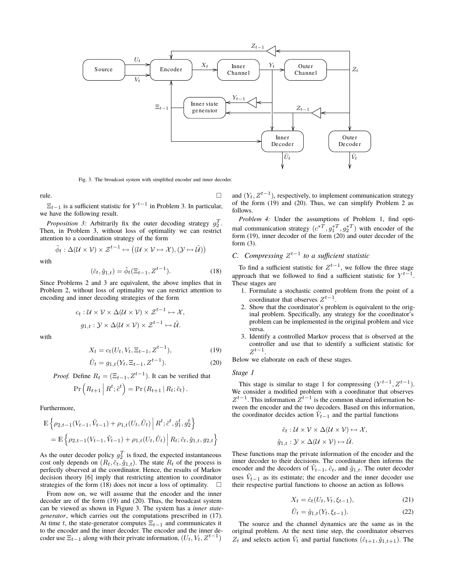

Fig. 3. The broadcast system with simplified encoder and inner decoder.

rule.

 $\Xi_{t-1}$  is a sufficient statistic for  $Y^{t-1}$  in Problem 3. In particular, we have the following result.

*Proposition 3:* Arbitrarily fix the outer decoding strategy  $g_2^T$ . Then, in Problem 3, without loss of optimality we can restrict attention to a coordination strategy of the form

 $\tilde{\phi}_t : \Delta(\mathcal{U} \times \mathcal{V}) \times \mathcal{Z}^{t-1} \mapsto ((\mathcal{U} \times \mathcal{V} \mapsto \mathcal{X}), (\mathcal{Y} \mapsto \hat{\mathcal{U}}))$ 

with

$$
(\tilde{c}_t, \tilde{g}_{1,t}) = \tilde{\phi}_t(\Xi_{t-1}, \underline{Z}^{t-1}). \tag{18}
$$

Since Problems 2 and 3 are equivalent, the above implies that in Problem 2, without loss of optimality we can restrict attention to encoding and inner decoding strategies of the form

$$
c_t: \mathcal{U} \times \mathcal{V} \times \Delta(\mathcal{U} \times \mathcal{V}) \times \mathcal{Z}^{t-1} \mapsto \mathcal{X},
$$
  

$$
g_{1,t}: \mathcal{Y} \times \Delta(\mathcal{U} \times \mathcal{V}) \times \mathcal{Z}^{t-1} \mapsto \hat{\mathcal{U}}.
$$

with

$$
X_t = c_t(U_t, V_t, \Xi_{t-1}, Z^{t-1}),
$$
\n(19)

$$
\hat{U}_t = g_{1,t}(Y_t, \Xi_{t-1}, Z^{t-1}).
$$
\n(20)

*Proof.* Define  $R_t = (\Xi_{t-1}, Z^{t-1})$ . It can be verified that

$$
\Pr\left(R_{t+1} \mid R^t; \tilde{c}^t\right) = \Pr\left(R_{t+1} \mid R_t; \tilde{c}_t\right).
$$

Furthermore,

$$
\mathbb{E}\left\{\rho_{2,t-1}(V_{t-1},\hat{V}_{t-1}) + \rho_{1,t}(U_t,\hat{U}_t) \middle| R^t; \tilde{c}^t, \tilde{g}_1^t, g_2^t \right\}
$$
\n
$$
= \mathbb{E}\left\{\rho_{2,t-1}(V_{t-1},\hat{V}_{t-1}) + \rho_{1,t}(U_t,\hat{U}_t) \middle| R_t; \tilde{c}_t, \tilde{g}_{1,t}, g_{2,t} \right\}
$$

As the outer decoder policy  $g_2^T$  is fixed, the expected instantaneous cost only depends on  $(R_t, \tilde{c}_t, \tilde{g}_{1,t})$ . The state  $R_t$  of the process is perfectly observed at the coordinator. Hence, the results of Markov decision theory [6] imply that restricting attention to coordinator strategies of the form (18) does not incur a loss of optimality.  $\square$ 

From now on, we will assume that the encoder and the inner decoder are of the form (19) and (20). Thus, the broadcast system can be viewed as shown in Figure 3. The system has a *inner stategenerator*, which carries out the computations prescribed in (17). At time *t*, the state-generator computes  $\Xi_{t-1}$  and communicates it to the encoder and the inner decoder. The encoder and the inner decoder use  $\Xi_{t-1}$  along with their private information,  $(U_t, V_t, Z^{t-1})$ 

and (*Yt, Zt*−<sup>1</sup> ), respectively, to implement communication strategy of the form (19) and (20). Thus, we can simplify Problem 2 as follows.

*Problem 4:* Under the assumptions of Problem 1, find optimal communication strategy  $(c^{*T}, g_1^{*T}, g_2^{*T})$  with encoder of the form (19), inner decoder of the form (20) and outer decoder of the form (3).

# *C. Compressing Z t*−1 *to a sufficient statistic*

To find a sufficient statistic for  $Z^{t-1}$ , we follow the three stage approach that we followed to find a sufficient statistic for  $Y^{t-1}$ . These stages are

- 1. Formulate a stochastic control problem from the point of a coordinator that observes *Z t*−1 .
- 2. Show that the coordinator's problem is equivalent to the original problem. Specifically, any strategy for the coordinator's problem can be implemented in the original problem and vice versa.
- 3. Identify a controlled Markov process that is observed at the controller and use that to identify a sufficient statistic for  $Z^{t-1}$ .

Below we elaborate on each of these stages.

*Stage 1*

This stage is similar to stage 1 for compressing  $(Y^{t-1}, Z^{t-1})$ . We consider a modified problem with a coordinator that observes  $Z^{t-1}$ . This information  $Z^{t-1}$  is the common shared information between the encoder and the two decoders. Based on this information, the coordinator decides action  $\hat{V}_{t-1}$  and the partial functions

$$
\hat{c}_t: \mathcal{U} \times \mathcal{V} \times \Delta(\mathcal{U} \times \mathcal{V}) \mapsto \mathcal{X},
$$
  

$$
\hat{g}_{1,t}: \mathcal{Y} \times \Delta(\mathcal{U} \times \mathcal{V}) \mapsto \hat{\mathcal{U}}.
$$

These functions map the private information of the encoder and the inner decoder to their decisions. The coordinator then informs the encoder and the decoders of  $\hat{V}_{t-1}$ ,  $\hat{c}_t$ , and  $\hat{g}_{1,t}$ . The outer decoder uses  $\hat{V}_{t-1}$  as its estimate; the encoder and the inner decoder use their respective partial functions to choose an action as follows

$$
X_t = \hat{c}_t(U_t, V_t, \xi_{t-1}),\tag{21}
$$

$$
\hat{U}_t = \hat{g}_{1,t}(Y_t, \xi_{t-1}).\tag{22}
$$

The source and the channel dynamics are the same as in the original problem. At the next time step, the coordinator observes  $Z_t$  and selects action  $\hat{V}_t$  and partial functions  $(\hat{c}_{t+1}, \hat{g}_{1,t+1})$ . The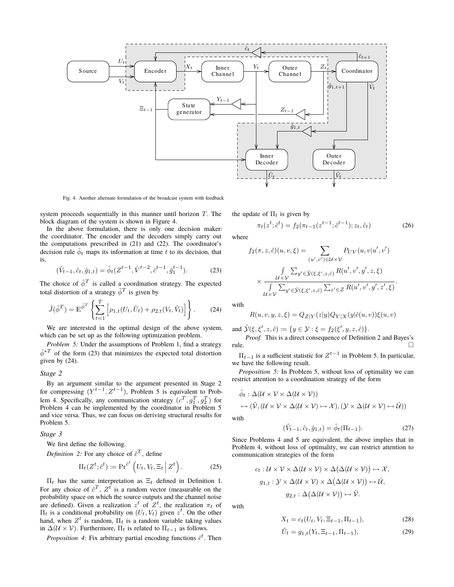

Fig. 4. Another alternate formulation of the broadcast system with feedback

system proceeds sequentially in this manner until horizon *T*. The block diagram of the system is shown in Figure 4.

In the above formulation, there is only one decision maker: the coordinator. The encoder and the decoders simply carry out the computations prescribed in (21) and (22). The coordinator's decision rule  $\hat{\phi}_t$  maps its information at time  $t$  to its decision, that is,

$$
(\hat{V}_{t-1}, \hat{c}_t, \hat{g}_{1,t}) = \hat{\phi}_t(Z^{t-1}, \hat{V}^{t-2}, \hat{c}^{t-1}, \hat{g}_1^{t-1}).
$$
 (23)

The choice of  $\hat{\phi}^T$  is called a coordination strategy. The expected total distortion of a strategy  $\hat{\phi}^T$  is given by

$$
\hat{J}(\hat{\phi}^T) = \mathbb{E}^{\hat{\phi}^T} \left\{ \sum_{t=1}^T \left[ \rho_{1,t}(U_t, \hat{U}_t) + \rho_{2,t}(V_t, \hat{V}_t) \right] \right\}.
$$
 (24)

We are interested in the optimal design of the above system, which can be set up as the following optimization problem.

*Problem 5:* Under the assumptions of Problem 1, find a strategy  $\hat{\phi}^{*T}$  of the form (23) that minimizes the expected total distortion given by (24).

## *Stage 2*

By an argument similar to the argument presented in Stage 2 for compressing  $(Y^{t-1}, Z^{t-1})$ , Problem 5 is equivalent to Problem 4. Specifically, any communication strategy  $(c^T, g_1^T, g_2^T)$  for Problem 4 can be implemented by the coordinator in Problem 5 and vice versa. Thus, we can focus on deriving structural results for Problem 5.

*Stage 3*

We first define the following.

*Definition 2:* For any choice of  $\hat{c}^T$ , define

$$
\Pi_t(Z^t; \hat{c}^t) := \operatorname{Pr}^{\hat{c}^t} \left( U_t, V_t, \Xi_t \, \middle| \, Z^t \right). \tag{25}
$$

Π*t* has the same interpretation as Ξ*t* defined in Definition 1. For any choice of  $\hat{c}^T$ ,  $Z^{\bar{t}}$  is a random vector (measurable on the probability space on which the source outputs and the channel noise are defined). Given a realization  $z^t$  of  $Z^t$ , the realization  $\pi_t$  of  $\Pi_t$  is a conditional probability on  $(U_t, V_t)$  given  $z^t$ . On the other hand, when  $Z^t$  is random,  $\Pi_t$  is a random variable taking values in  $\Delta(\mathcal{U} \times \mathcal{V})$ . Furthermore,  $\Pi_t$  is related to  $\Pi_{t-1}$  as follows.

*Proposition 4:* Fix arbitrary partial encoding functions  $\hat{c}^t$ . Then

the update of  $\Pi_t$  is given by

$$
\pi_t(z^t; \hat{c}^t) = f_2(\pi_{t-1}(z^{t-1}; \hat{c}^{t-1}); z_t, \hat{c}_t)
$$
\n(26)

where

$$
f_2(\pi, z, \hat{c})(u, v, \xi) = \sum_{(u', v') \in \mathcal{U} \times \mathcal{V}} P_{UV}(u, v | u', v')
$$

$$
\times \frac{\int_{\mathcal{U} \times \mathcal{V}} \sum_{y' \in \hat{\mathcal{Y}}(\xi, \xi', z, \hat{c})} R(u', v', y', z, \xi)}{\int_{\mathcal{U} \times \mathcal{V}} \sum_{y' \in \hat{\mathcal{Y}}(\xi, \xi', z, \hat{c})} \sum_{z' \in \mathcal{Z}} R(u', v', y', z', \xi)}.
$$

with

$$
R(u,v,y,z,\xi)=Q_{Z|Y}(z|y)Q_{Y|X}(y|\hat{c}(u,v))\xi(u,v)
$$

and  $\hat{\mathcal{Y}}(\xi, \xi', z, \hat{c}) := \{ y \in \mathcal{Y} : \xi = f_2(\xi', y, z, \hat{c}) \}.$ 

*Proof.* This is a direct consequence of Definition 2 and Bayes's  $rule.$   $\Box$ 

 $\Pi_{t-1}$  is a sufficient statistic for  $Z^{t-1}$  in Problem 5. In particular, we have the following result.

*Proposition 5:* In Problem 5, without loss of optimality we can restrict attention to a coordination strategy of the form

$$
\hat{\phi}_t : \Delta(\mathcal{U} \times \mathcal{V} \times \Delta(\mathcal{U} \times \mathcal{V}))
$$
  
\n
$$
\mapsto (\hat{\mathcal{V}}, (\mathcal{U} \times \mathcal{V} \times \Delta(\mathcal{U} \times \mathcal{V}) \mapsto \mathcal{X}), (\mathcal{Y} \times \Delta(\mathcal{U} \times \mathcal{V}) \mapsto \hat{\mathcal{U}}))
$$

with

$$
(\hat{V}_{t-1}, \hat{c}_t, \hat{g}_{1,t}) = \hat{\phi}_t(\Pi_{t-1}).
$$
\n(27)

Since Problems 4 and 5 are equivalent, the above implies that in Problem 4, without loss of optimality, we can restrict attention to communication strategies of the form

$$
c_t: U \times V \times \Delta(U \times V) \times \Delta(\Delta(U \times V)) \mapsto \mathcal{X},
$$
  
\n
$$
g_{1,t}: V \times \Delta(U \times V) \times \Delta(\Delta(U \times V)) \mapsto \hat{U},
$$
  
\n
$$
g_{2,t}: \Delta(\Delta(U \times V)) \mapsto \hat{V}.
$$

with

$$
X_t = c_t(U_t, V_t, \Xi_{t-1}, \Pi_{t-1}),
$$
\n(28)

$$
\hat{U}_t = g_{1,t}(Y_t, \Xi_{t-1}, \Pi_{t-1}),\tag{29}
$$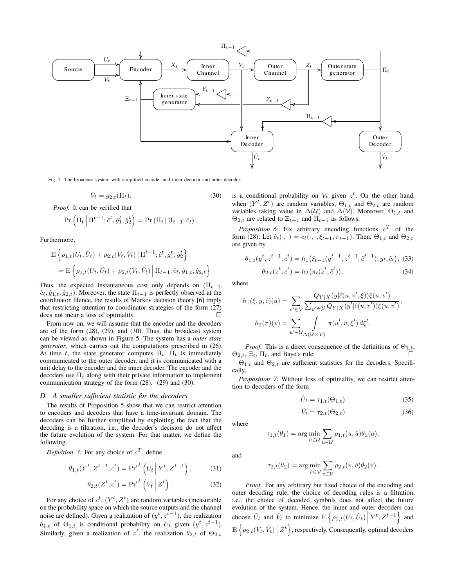

Fig. 5. The broadcast system with simplified encoder and inner decoder and outer decoder.

$$
\hat{V}_t = g_{2,t}(\Pi_t). \tag{30}
$$

*Proof.* It can be verified that

$$
\Pr\left(\Pi_t \middle| \Pi^{t-1}; \hat{c}^t, \hat{g}_1^t, \hat{g}_2^t\right) = \Pr\left(\Pi_t \middle| \Pi_{t-1}; \hat{c}_t\right).
$$

Furthermore,

$$
\mathbb{E}\left\{\rho_{1,t}(U_t, \hat{U}_t) + \rho_{2,t}(V_t, \hat{V}_t) \middle| \Pi^{t-1}; \hat{c}^t, \hat{g}_1^t, \hat{g}_2^t\right\}
$$
\n
$$
= \mathbb{E}\left\{\rho_{1,t}(U_t, \hat{U}_t) + \rho_{2,t}(V_t, \hat{V}_t) \middle| \Pi_{t-1}; \hat{c}_t, \hat{g}_{1,t}, \hat{g}_{2,t}\right\}
$$

Thus, the expected instantaneous cost only depends on  $(\Pi_{t-1},$  $\hat{c}_t$ *,*  $\hat{g}_{1,t}$ *,*  $\hat{g}_{2,t}$ *)*. Moreover, the state  $\Pi_{t-1}$  is perfectly observed at the coordinator. Hence, the results of Markov decision theory [6] imply that restricting attention to coordinator strategies of the form (27) does not incur a loss of optimality.

From now on, we will assume that the encoder and the decoders are of the form (28), (29), and (30). Thus, the broadcast system can be viewed as shown in Figure 5. The system has a *outer stategenerator*, which carries out the computations prescribed in (26). At time *t*, the state generator computes  $\Pi_t$ .  $\Pi_t$  is immediately communicated to the outer decoder, and it is communicated with a unit delay to the encoder and the inner decoder. The encoder and the decoders use  $\Pi_t$  along with their private information to implement communication strategy of the form (28), (29) and (30).

## *D. A smaller sufficient statistic for the decoders*

The results of Proposition 5 show that we can restrict attention to encoders and decoders that have a time-invariant domain. The decoders can be further simplified by exploiting the fact that the decoding is a filtration, i.e., the decoder's decision do not affect the future evolution of the system. For that matter, we define the following.

*Definition 3:* For any choice of  $c^T$ , define

$$
\theta_{1,t}(Y^t, Z^{t-1}; c^t) = \Pr^{c^t} (U_t | Y^t, Z^{t-1}), \quad (31)
$$

$$
\theta_{2,t}(Z^t; c^t) = \Pr^{c^t}\left(V_t \mid Z^t\right). \tag{32}
$$

For any choice of  $c^t$ ,  $(Y^t, Z^t)$  are random variables (measurable on the probability space on which the source outputs and the channel noise are defined). Given a realization of  $(y^t, z^{t-1})$ , the realization  $\theta_{1,t}$  of  $\Theta_{1,t}$  is conditional probability on  $U_t$  given  $(y^t, z^{t-1})$ . Similarly, given a realization of  $z^t$ , the realization  $\theta_{2,t}$  of  $\Theta_{2,t}$ 

is a conditional probability on  $V_t$  given  $z^t$ . On the other hand, when  $(Y^t, Z^t)$  are random variables,  $\Theta_{1,t}$  and  $\Theta_{2,t}$  are random variables taking value in  $\Delta(\mathcal{U})$  and  $\Delta(\mathcal{V})$ . Moreover,  $\Theta_{1,t}$  and  $\Theta_{2,t}$  are related to  $\Xi_{t-1}$  and  $\Pi_{t-1}$  as follows.

*Proposition 6:* Fix arbitrary encoding functions  $c^T$  of the form (28). Let  $\hat{c}_t(\cdot, \cdot) = c_t(\cdot, \cdot, \xi_{t-1}, \pi_{t-1})$ . Then,  $\Theta_{1,t}$  and  $\Theta_{2,t}$ are given by

$$
\theta_{1,t}(y^t, z^{t-1}; c^t) = h_1(\xi_{t-1}(y^{t-1}, z^{t-1}; \hat{c}^{t-1}), y_t, \hat{c}_t),
$$
 (33)  

$$
\theta_{2,t}(z^t; c^t) = h_2(\pi_t(z^t; \hat{c}^t));
$$
 (34)

where

$$
h_1(\xi, y, \hat{c})(u) = \sum_{v' \in \mathcal{V}} \frac{Q_{Y|X}(y|\hat{c}(u, v', \xi))\xi(u, v')}{\sum_{y' \in \mathcal{Y}} Q_{Y|X}(y'|\hat{c}(u, v'))\xi(u, v')},
$$

$$
h_2(\pi)(v) = \sum_{u' \in \mathcal{U}} \int_{\Delta(\mathcal{U} \times \mathcal{V})} \pi(u', v, \xi') d\xi'.
$$

*Proof.* This is a direct consequence of the definitions of  $\Theta_{1,t}$ ,  $\Theta_{2,t}$ ,  $\Xi_t$ ,  $\Pi_t$ , and Baye's rule.

 $\Theta_{1,t}$  and  $\Theta_{2,t}$  are sufficient statistics for the decoders. Specifically,

*Proposition 7:* Without loss of optimality, we can restrict attention to decoders of the form

$$
\hat{U}_t = \tau_{1,t}(\Theta_{1,t})\tag{35}
$$

$$
\hat{V}_t = \tau_{2,t}(\Theta_{2,t})\tag{36}
$$

where

$$
\tau_{1,t}(\theta_1) = \arg\min_{\hat{u}\in\hat{\mathcal{U}}} \sum_{u\in\mathcal{U}} \rho_{1,t}(u,\hat{u})\theta_1(u),
$$

and

$$
\tau_{2,t}(\theta_2) = \arg\min_{\hat{v}\in\hat{\mathcal{V}}} \sum_{v\in\mathcal{V}} \rho_{2,t}(v,\hat{v})\theta_2(v).
$$

*Proof.* For any arbitrary but fixed choice of the encoding and outer decoding rule, the choice of decoding rules is a filtration, i.e., the choice of decoded symbols does not affect the future evolution of the system. Hence, the inner and outer decoders can choose  $\hat{U}_t$  and  $\hat{V}_t$  to minimize  $\mathbb{E}\left\{\rho_{1,t}(U_t,\hat{U}_t)\Big| Y^t, Z^{t-1}\right\}$  and  $\mathbb{E}\left\{ \rho_{2,t}(V_t, \hat{V}_t) \middle| Z^t \right\}$ , respectively. Consequently, optimal decoders